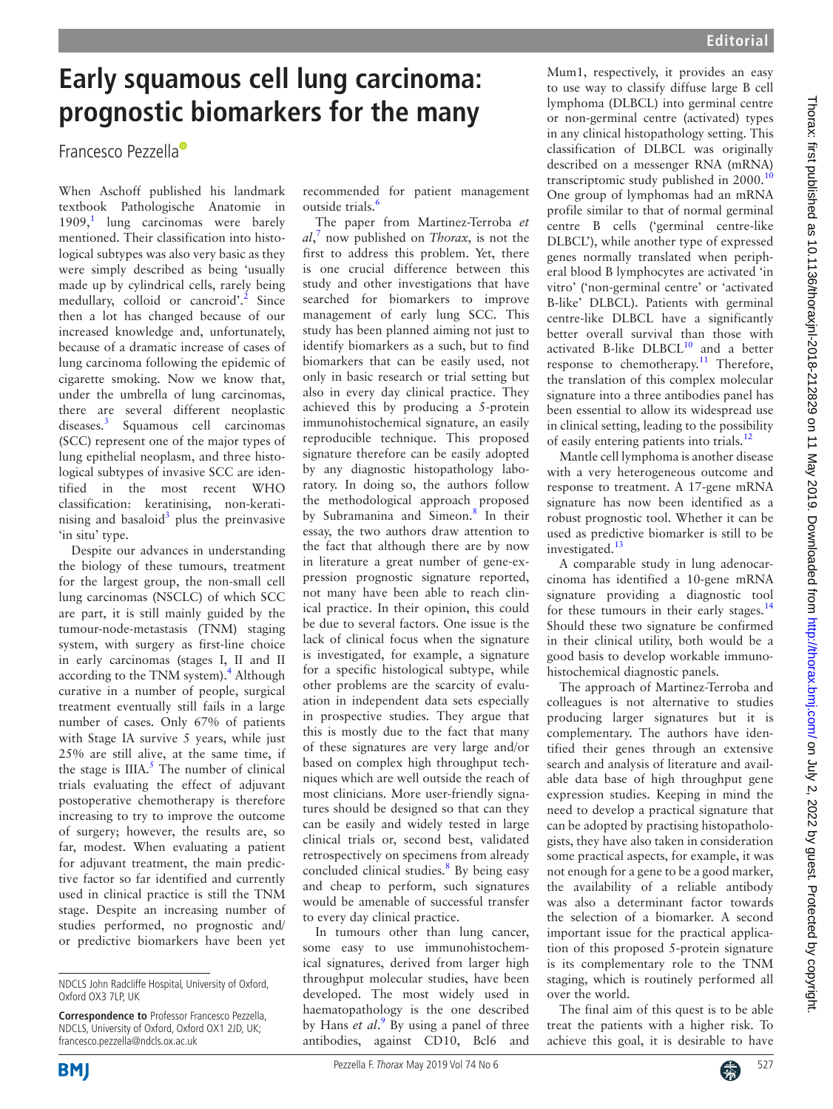## **Early squamous cell lung carcinoma: prognostic biomarkers for the many**

Francesco Pezzell[a](http://orcid.org/0000-0003-1505-7854)

When Aschoff published his landmark textbook Pathologische Anatomie in  $1909$  $1909$ <sup>1</sup>, lung carcinomas were barely mentioned. Their classification into histological subtypes was also very basic as they were simply described as being 'usually made up by cylindrical cells, rarely being medullary, colloid or cancroid'.<sup>2</sup> Since then a lot has changed because of our increased knowledge and, unfortunately, because of a dramatic increase of cases of lung carcinoma following the epidemic of cigarette smoking. Now we know that, under the umbrella of lung carcinomas, there are several different neoplastic diseases.[3](#page-1-2) Squamous cell carcinomas (SCC) represent one of the major types of lung epithelial neoplasm, and three histological subtypes of invasive SCC are identified in the most recent WHO classification: keratinising, non-keratinising and basaloid<sup>3</sup> plus the preinvasive 'in situ' type.

Despite our advances in understanding the biology of these tumours, treatment for the largest group, the non-small cell lung carcinomas (NSCLC) of which SCC are part, it is still mainly guided by the tumour-node-metastasis (TNM) staging system, with surgery as first-line choice in early carcinomas (stages I, II and II according to the TNM system).<sup>[4](#page-1-3)</sup> Although curative in a number of people, surgical treatment eventually still fails in a large number of cases. Only 67% of patients with Stage IA survive 5 years, while just 25% are still alive, at the same time, if the stage is  $IIIA.<sup>5</sup>$  $IIIA.<sup>5</sup>$  $IIIA.<sup>5</sup>$  The number of clinical trials evaluating the effect of adjuvant postoperative chemotherapy is therefore increasing to try to improve the outcome of surgery; however, the results are, so far, modest. When evaluating a patient for adjuvant treatment, the main predictive factor so far identified and currently used in clinical practice is still the TNM stage. Despite an increasing number of studies performed, no prognostic and/ or predictive biomarkers have been yet

recommended for patient management outside trials. $\frac{6}{3}$ 

The paper from Martinez-Terroba *et al*, [7](#page-1-6) now published on *Thorax*, is not the first to address this problem. Yet, there is one crucial difference between this study and other investigations that have searched for biomarkers to improve management of early lung SCC. This study has been planned aiming not just to identify biomarkers as a such, but to find biomarkers that can be easily used, not only in basic research or trial setting but also in every day clinical practice. They achieved this by producing a 5-protein immunohistochemical signature, an easily reproducible technique. This proposed signature therefore can be easily adopted by any diagnostic histopathology laboratory. In doing so, the authors follow the methodological approach proposed by Subramanina and Simeon.<sup>8</sup> In their essay, the two authors draw attention to the fact that although there are by now in literature a great number of gene-expression prognostic signature reported, not many have been able to reach clinical practice. In their opinion, this could be due to several factors. One issue is the lack of clinical focus when the signature is investigated, for example, a signature for a specific histological subtype, while other problems are the scarcity of evaluation in independent data sets especially in prospective studies. They argue that this is mostly due to the fact that many of these signatures are very large and/or based on complex high throughput techniques which are well outside the reach of most clinicians. More user-friendly signatures should be designed so that can they can be easily and widely tested in large clinical trials or, second best, validated retrospectively on specimens from already concluded clinical studies.<sup>[8](#page-1-7)</sup> By being easy and cheap to perform, such signatures would be amenable of successful transfer to every day clinical practice.

In tumours other than lung cancer, some easy to use immunohistochemical signatures, derived from larger high throughput molecular studies, have been developed. The most widely used in haematopathology is the one described by Hans *et al.*<sup>[9](#page-1-8)</sup> By using a panel of three antibodies, against CD10, Bcl6 and

Mum1, respectively, it provides an easy to use way to classify diffuse large B cell lymphoma (DLBCL) into germinal centre or non-germinal centre (activated) types in any clinical histopathology setting. This classification of DLBCL was originally described on a messenger RNA (mRNA) transcriptomic study published in 2000.<sup>[10](#page-1-9)</sup> One group of lymphomas had an mRNA profile similar to that of normal germinal centre B cells ('germinal centre-like DLBCL'), while another type of expressed genes normally translated when peripheral blood B lymphocytes are activated 'in vitro' ('non-germinal centre' or 'activated B-like' DLBCL). Patients with germinal centre-like DLBCL have a significantly better overall survival than those with activated B-like  $DLECL^{10}$  and a better response to chemotherapy.<sup>11</sup> Therefore, the translation of this complex molecular signature into a three antibodies panel has been essential to allow its widespread use in clinical setting, leading to the possibility

of easily entering patients into trials.<sup>[12](#page-1-11)</sup> Mantle cell lymphoma is another disease with a very heterogeneous outcome and response to treatment. A 17-gene mRNA signature has now been identified as a robust prognostic tool. Whether it can be used as predictive biomarker is still to be investigated. $13$ 

A comparable study in lung adenocarcinoma has identified a 10-gene mRNA signature providing a diagnostic tool for these tumours in their early stages.<sup>[14](#page-1-13)</sup> Should these two signature be confirmed in their clinical utility, both would be a good basis to develop workable immunohistochemical diagnostic panels.

The approach of Martinez-Terroba and colleagues is not alternative to studies producing larger signatures but it is complementary. The authors have identified their genes through an extensive search and analysis of literature and available data base of high throughput gene expression studies. Keeping in mind the need to develop a practical signature that can be adopted by practising histopathologists, they have also taken in consideration some practical aspects, for example, it was not enough for a gene to be a good marker, the availability of a reliable antibody was also a determinant factor towards the selection of a biomarker. A second important issue for the practical application of this proposed 5-protein signature is its complementary role to the TNM staging, which is routinely performed all over the world.

The final aim of this quest is to be able treat the patients with a higher risk. To achieve this goal, it is desirable to have



NDCLS John Radcliffe Hospital, University of Oxford, Oxford OX3 7LP, UK

**Correspondence to** Professor Francesco Pezzella, NDCLS, University of Oxford, Oxford OX1 2JD, UK; francesco.pezzella@ndcls.ox.ac.uk